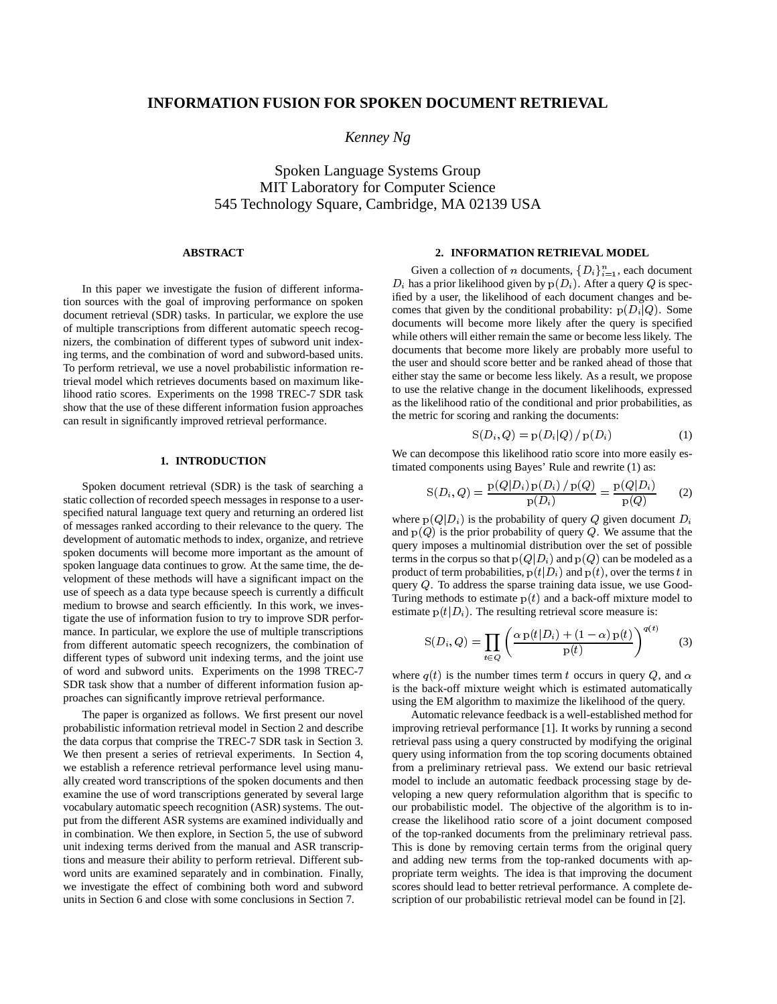# **INFORMATION FUSION FOR SPOKEN DOCUMENT RETRIEVAL**

*Kenney Ng*

Spoken Language Systems Group MIT Laboratory for Computer Science 545 Technology Square, Cambridge, MA 02139 USA

# **ABSTRACT**

In this paper we investigate the fusion of different information sources with the goal of improving performance on spoken document retrieval (SDR) tasks. In particular, we explore the use of multiple transcriptions from different automatic speech recognizers, the combination of different types of subword unit indexing terms, and the combination of word and subword-based units. To perform retrieval, we use a novel probabilistic information retrieval model which retrieves documents based on maximum likelihood ratio scores. Experiments on the 1998 TREC-7 SDR task show that the use of these different information fusion approaches can result in significantly improved retrieval performance.

# **1. INTRODUCTION**

Spoken document retrieval (SDR) is the task of searching a static collection of recorded speech messages in response to a userspecified natural language text query and returning an ordered list of messages ranked according to their relevance to the query. The development of automatic methods to index, organize, and retrieve spoken documents will become more important as the amount of spoken language data continues to grow. At the same time, the development of these methods will have a significant impact on the use of speech as a data type because speech is currently a difficult medium to browse and search efficiently. In this work, we investigate the use of information fusion to try to improve SDR performance. In particular, we explore the use of multiple transcriptions from different automatic speech recognizers, the combination of different types of subword unit indexing terms, and the joint use of word and subword units. Experiments on the 1998 TREC-7 SDR task show that a number of different information fusion approaches can significantly improve retrieval performance.

The paper is organized as follows. We first present our novel probabilistic information retrieval model in Section 2 and describe the data corpus that comprise the TREC-7 SDR task in Section 3. We then present a series of retrieval experiments. In Section 4, we establish a reference retrieval performance level using manually created word transcriptions of the spoken documents and then examine the use of word transcriptions generated by several large vocabulary automatic speech recognition (ASR) systems. The output from the different ASR systems are examined individually and in combination. We then explore, in Section 5, the use of subword unit indexing terms derived from the manual and ASR transcriptions and measure their ability to perform retrieval. Different subword units are examined separately and in combination. Finally, we investigate the effect of combining both word and subword units in Section 6 and close with some conclusions in Section 7.

## **2. INFORMATION RETRIEVAL MODEL**

Given a collection of *n* documents,  $\{D_i\}_{i=1}^n$ , each document  $D_i$  has a prior likelihood given by  $p(D_i)$ . After a query Q is specified by a user, the likelihood of each document changes and becomes that given by the conditional probability:  $p(D_i|Q)$ . Some documents will become more likely after the query is specified while others will either remain the same or become less likely. The documents that become more likely are probably more useful to the user and should score better and be ranked ahead of those that either stay the same or become less likely. As a result, we propose to use the relative change in the document likelihoods, expressed as the likelihood ratio of the conditional and prior probabilities, as the metric for scoring and ranking the documents:

$$
S(D_i, Q) = p(D_i|Q) / p(D_i)
$$
 (1)

We can decompose this likelihood ratio score into more easily estimated components using Bayes' Rule and rewrite (1) as:

$$
S(D_i, Q) = \frac{p(Q|D_i) p(D_i) / p(Q)}{p(D_i)} = \frac{p(Q|D_i)}{p(Q)} \qquad (2)
$$

where  $p(Q|D_i)$  is the probability of query Q given document  $D_i$ and  $p(Q)$  is the prior probability of query Q. We assume that the query imposes a multinomial distribution over the set of possible terms in the corpus so that  $p(Q|D_i)$  and  $p(Q)$  can be modeled as a product of term probabilities,  $p(t|D_i)$  and  $p(t)$ , over the terms t in query <sup>Q</sup>. To address the sparse training data issue, we use Good-Turing methods to estimate  $p(t)$  and a back-off mixture model to estimate  $p(t|D_i)$ . The resulting retrieval score measure is:

$$
S(D_i, Q) = \prod_{t \in Q} \left( \frac{\alpha p(t|D_i) + (1 - \alpha) p(t)}{p(t)} \right)^{q(t)} \tag{3}
$$

where  $q(t)$  is the number times term t occurs in query Q, and  $\alpha$ is the back-off mixture weight which is estimated automatically using the EM algorithm to maximize the likelihood of the query.

Automatic relevance feedback is a well-established method for improving retrieval performance [1]. It works by running a second retrieval pass using a query constructed by modifying the original query using information from the top scoring documents obtained from a preliminary retrieval pass. We extend our basic retrieval model to include an automatic feedback processing stage by developing a new query reformulation algorithm that is specific to our probabilistic model. The objective of the algorithm is to increase the likelihood ratio score of a joint document composed of the top-ranked documents from the preliminary retrieval pass. This is done by removing certain terms from the original query and adding new terms from the top-ranked documents with appropriate term weights. The idea is that improving the document scores should lead to better retrieval performance. A complete description of our probabilistic retrieval model can be found in [2].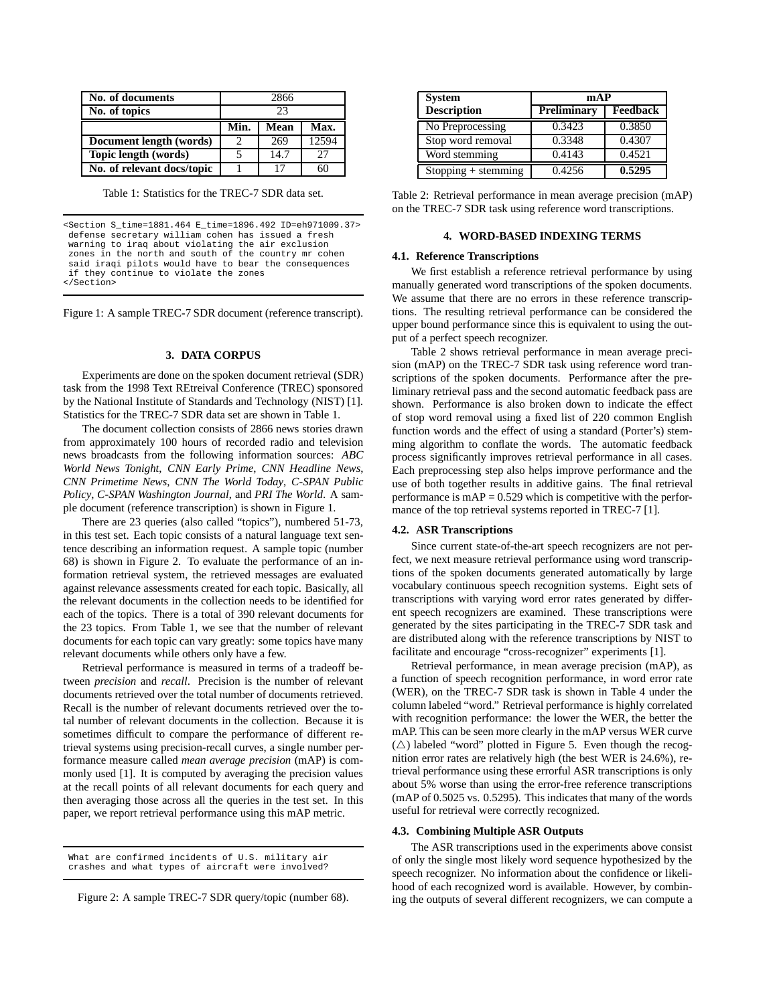| No. of documents           | 2866 |      |       |
|----------------------------|------|------|-------|
| No. of topics              | 23   |      |       |
|                            | Min. | Mean | Max.  |
| Document length (words)    | 2    | 269  | 12594 |
| Topic length (words)       |      | 14.7 | 27    |
| No. of relevant docs/topic |      | 17   | 60    |

Table 1: Statistics for the TREC-7 SDR data set.

<Section S\_time=1881.464 E\_time=1896.492 ID=eh971009.37> defense secretary william cohen has issued a fresh warning to iraq about violating the air exclusion zones in the north and south of the country mr cohen said iraqi pilots would have to bear the consequences if they continue to violate the zones </Section>

Figure 1: A sample TREC-7 SDR document (reference transcript).

## **3. DATA CORPUS**

Experiments are done on the spoken document retrieval (SDR) task from the 1998 Text REtreival Conference (TREC) sponsored by the National Institute of Standards and Technology (NIST) [1]. Statistics for the TREC-7 SDR data set are shown in Table 1.

The document collection consists of 2866 news stories drawn from approximately 100 hours of recorded radio and television news broadcasts from the following information sources: *ABC World News Tonight*, *CNN Early Prime*, *CNN Headline News*, *CNN Primetime News*, *CNN The World Today*, *C-SPAN Public Policy*, *C-SPAN Washington Journal*, and *PRI The World*. A sample document (reference transcription) is shown in Figure 1.

There are 23 queries (also called "topics"), numbered 51-73, in this test set. Each topic consists of a natural language text sentence describing an information request. A sample topic (number 68) is shown in Figure 2. To evaluate the performance of an information retrieval system, the retrieved messages are evaluated against relevance assessments created for each topic. Basically, all the relevant documents in the collection needs to be identified for each of the topics. There is a total of 390 relevant documents for the 23 topics. From Table 1, we see that the number of relevant documents for each topic can vary greatly: some topics have many relevant documents while others only have a few.

Retrieval performance is measured in terms of a tradeoff between *precision* and *recall*. Precision is the number of relevant documents retrieved over the total number of documents retrieved. Recall is the number of relevant documents retrieved over the total number of relevant documents in the collection. Because it is sometimes difficult to compare the performance of different retrieval systems using precision-recall curves, a single number performance measure called *mean average precision* (mAP) is commonly used [1]. It is computed by averaging the precision values at the recall points of all relevant documents for each query and then averaging those across all the queries in the test set. In this paper, we report retrieval performance using this mAP metric.

Figure 2: A sample TREC-7 SDR query/topic (number 68).

| <b>System</b>        | mAP                 |          |  |
|----------------------|---------------------|----------|--|
| <b>Description</b>   | Preliminary         | Feedback |  |
| No Preprocessing     | 0.3423              | 0.3850   |  |
| Stop word removal    | 0.3348              | 0.4307   |  |
| Word stemming        | 0.4143              | 0.4521   |  |
| $Stoping + stemming$ | $\overline{0.4256}$ | 0.5295   |  |

| Table 2: Retrieval performance in mean average precision (mAP) |  |
|----------------------------------------------------------------|--|
| on the TREC-7 SDR task using reference word transcriptions.    |  |

### **4. WORD-BASED INDEXING TERMS**

### **4.1. Reference Transcriptions**

We first establish a reference retrieval performance by using manually generated word transcriptions of the spoken documents. We assume that there are no errors in these reference transcriptions. The resulting retrieval performance can be considered the upper bound performance since this is equivalent to using the output of a perfect speech recognizer.

Table 2 shows retrieval performance in mean average precision (mAP) on the TREC-7 SDR task using reference word transcriptions of the spoken documents. Performance after the preliminary retrieval pass and the second automatic feedback pass are shown. Performance is also broken down to indicate the effect of stop word removal using a fixed list of 220 common English function words and the effect of using a standard (Porter's) stemming algorithm to conflate the words. The automatic feedback process significantly improves retrieval performance in all cases. Each preprocessing step also helps improve performance and the use of both together results in additive gains. The final retrieval performance is  $mAP = 0.529$  which is competitive with the performance of the top retrieval systems reported in TREC-7 [1].

#### **4.2. ASR Transcriptions**

Since current state-of-the-art speech recognizers are not perfect, we next measure retrieval performance using word transcriptions of the spoken documents generated automatically by large vocabulary continuous speech recognition systems. Eight sets of transcriptions with varying word error rates generated by different speech recognizers are examined. These transcriptions were generated by the sites participating in the TREC-7 SDR task and are distributed along with the reference transcriptions by NIST to facilitate and encourage "cross-recognizer" experiments [1].

Retrieval performance, in mean average precision (mAP), as a function of speech recognition performance, in word error rate (WER), on the TREC-7 SDR task is shown in Table 4 under the column labeled "word." Retrieval performance is highly correlated with recognition performance: the lower the WER, the better the mAP. This can be seen more clearly in the mAP versus WER curve  $(\triangle)$  labeled "word" plotted in Figure 5. Even though the recognition error rates are relatively high (the best WER is 24.6%), retrieval performance using these errorful ASR transcriptions is only about 5% worse than using the error-free reference transcriptions (mAP of 0.5025 vs. 0.5295). This indicates that many of the words useful for retrieval were correctly recognized.

### **4.3. Combining Multiple ASR Outputs**

The ASR transcriptions used in the experiments above consist of only the single most likely word sequence hypothesized by the speech recognizer. No information about the confidence or likelihood of each recognized word is available. However, by combining the outputs of several different recognizers, we can compute a

What are confirmed incidents of U.S. military air crashes and what types of aircraft were involved?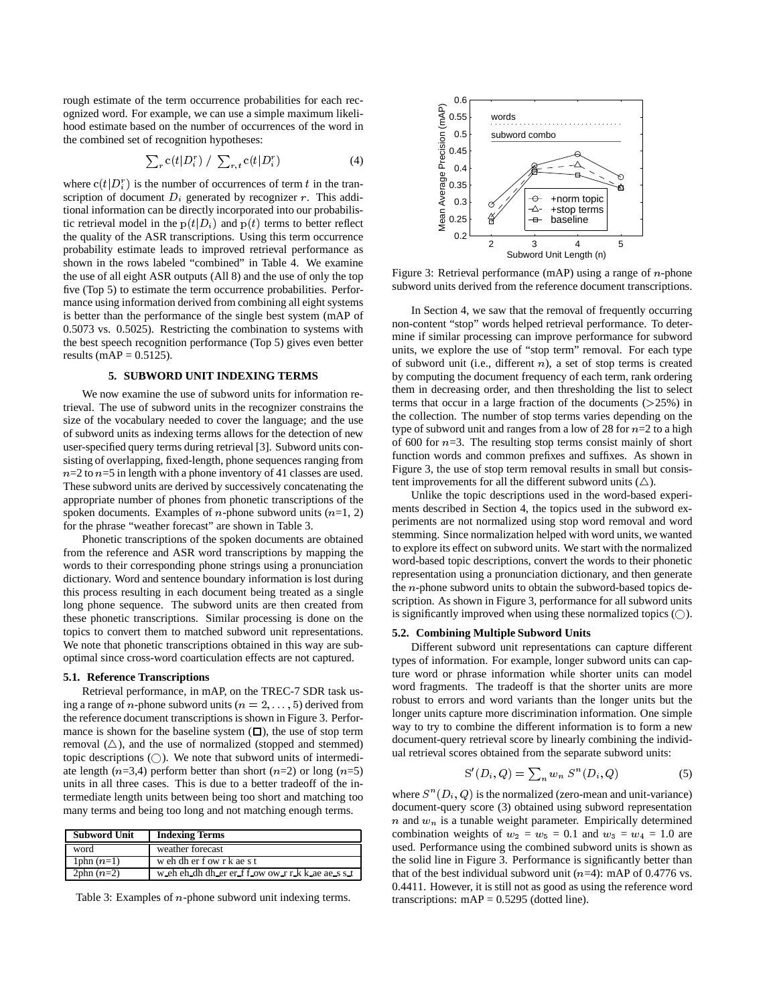rough estimate of the term occurrence probabilities for each recognized word. For example, we can use a simple maximum likelihood estimate based on the number of occurrences of the word in the combined set of recognition hypotheses:

$$
\sum_{r} c(t|D_i^r) / \sum_{r,t} c(t|D_i^r)
$$
 (4)

where  $c(t|D_i^r)$  is the number of occurrences of term t in the transcription of document  $D_i$  generated by recognizer r. This additional information can be directly incorporated into our probabilistic retrieval model in the  $p(t|D_i)$  and  $p(t)$  terms to better reflect the quality of the ASR transcriptions. Using this term occurrence probability estimate leads to improved retrieval performance as shown in the rows labeled "combined" in Table 4. We examine the use of all eight ASR outputs (All 8) and the use of only the top five (Top 5) to estimate the term occurrence probabilities. Performance using information derived from combining all eight systems is better than the performance of the single best system (mAP of 0.5073 vs. 0.5025). Restricting the combination to systems with the best speech recognition performance (Top 5) gives even better results (mAP =  $0.5125$ ).

# **5. SUBWORD UNIT INDEXING TERMS**

We now examine the use of subword units for information retrieval. The use of subword units in the recognizer constrains the size of the vocabulary needed to cover the language; and the use of subword units as indexing terms allows for the detection of new user-specified query terms during retrieval [3]. Subword units consisting of overlapping, fixed-length, phone sequences ranging from  $n=2$  to  $n=5$  in length with a phone inventory of 41 classes are used. These subword units are derived by successively concatenating the appropriate number of phones from phonetic transcriptions of the spoken documents. Examples of *n*-phone subword units  $(n=1, 2)$ for the phrase "weather forecast" are shown in Table 3.

Phonetic transcriptions of the spoken documents are obtained from the reference and ASR word transcriptions by mapping the words to their corresponding phone strings using a pronunciation dictionary. Word and sentence boundary information is lost during this process resulting in each document being treated as a single long phone sequence. The subword units are then created from these phonetic transcriptions. Similar processing is done on the topics to convert them to matched subword unit representations. We note that phonetic transcriptions obtained in this way are suboptimal since cross-word coarticulation effects are not captured.

#### **5.1. Reference Transcriptions**

Retrieval performance, in mAP, on the TREC-7 SDR task using a range of *n*-phone subword units ( $n = 2, \ldots, 5$ ) derived from the reference document transcriptions is shown in Figure 3. Performance is shown for the baseline system  $(\Box)$ , the use of stop term removal  $(\triangle)$ , and the use of normalized (stopped and stemmed) topic descriptions  $(\bigcirc)$ . We note that subword units of intermediate length ( $n=3,4$ ) perform better than short ( $n=2$ ) or long ( $n=5$ ) units in all three cases. This is due to a better tradeoff of the intermediate length units between being too short and matching too many terms and being too long and not matching enough terms.

| Subword Unit | <b>Indexing Terms</b>                            |
|--------------|--------------------------------------------------|
| word         | weather forecast                                 |
| 1phn $(n=1)$ | weh dher fow r k ae s t                          |
| $2phn(n=2)$  | weh ch dh dh er er f f ow ow r r k k ae ae s s t |

Table 3: Examples of <sup>n</sup>-phone subword unit indexing terms.



Figure 3: Retrieval performance (mAP) using a range of  $n$ -phone subword units derived from the reference document transcriptions.

In Section 4, we saw that the removal of frequently occurring non-content "stop" words helped retrieval performance. To determine if similar processing can improve performance for subword units, we explore the use of "stop term" removal. For each type of subword unit (i.e., different  $n$ ), a set of stop terms is created by computing the document frequency of each term, rank ordering them in decreasing order, and then thresholding the list to select terms that occur in a large fraction of the documents  $(>=25%)$  in the collection. The number of stop terms varies depending on the type of subword unit and ranges from a low of 28 for  $n=2$  to a high of 600 for  $n=3$ . The resulting stop terms consist mainly of short function words and common prefixes and suffixes. As shown in Figure 3, the use of stop term removal results in small but consistent improvements for all the different subword units  $(\triangle)$ .

Unlike the topic descriptions used in the word-based experiments described in Section 4, the topics used in the subword experiments are not normalized using stop word removal and word stemming. Since normalization helped with word units, we wanted to explore its effect on subword units. We start with the normalized word-based topic descriptions, convert the words to their phonetic representation using a pronunciation dictionary, and then generate the <sup>n</sup>-phone subword units to obtain the subword-based topics description. As shown in Figure 3, performance for all subword units is significantly improved when using these normalized topics  $(\bigcirc)$ .

# **5.2. Combining Multiple Subword Units**

Different subword unit representations can capture different types of information. For example, longer subword units can capture word or phrase information while shorter units can model word fragments. The tradeoff is that the shorter units are more robust to errors and word variants than the longer units but the longer units capture more discrimination information. One simple way to try to combine the different information is to form a new document-query retrieval score by linearly combining the individual retrieval scores obtained from the separate subword units:

$$
S'(D_i, Q) = \sum_n w_n S^n(D_i, Q) \tag{5}
$$

where  $S^{n}(D_i, Q)$  is the normalized (zero-mean and unit-variance) document-query score (3) obtained using subword representation  $n$  and  $w_n$  is a tunable weight parameter. Empirically determined combination weights of  $w_2 = w_5 = 0.1$  and  $w_3 = w_4 = 1.0$  are used. Performance using the combined subword units is shown as the solid line in Figure 3. Performance is significantly better than that of the best individual subword unit  $(n=4)$ : mAP of 0.4776 vs. 0.4411. However, it is still not as good as using the reference word transcriptions:  $mAP = 0.5295$  (dotted line).